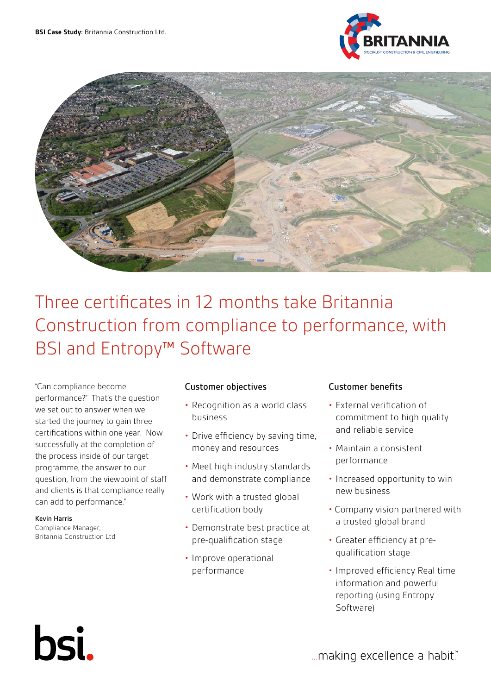



# Three certificates in 12 months take Britannia Construction from compliance to performance, with BSI and Entropy™ Software

"Can compliance become performance?" That's the question we set out to answer when we started the journey to gain three certifications within one year. Now successfully at the completion of the process inside of our target programme, the answer to our question, from the viewpoint of staff and clients is that compliance really can add to performance."

#### Kevin Harris

Compliance Manager, Britannia Construction Ltd

bsi.

## Customer objectives

- Recognition as a world class business
- Drive efficiency by saving time, money and resources
- Meet high industry standards and demonstrate compliance
- Work with a trusted global certification body
- Demonstrate best practice at pre-qualification stage
- Improve operational performance

### Customer benefits

- External verification of commitment to high quality and reliable service
- Maintain a consistent performance
- Increased opportunity to win new business
- Company vision partnered with a trusted global brand
- Greater efficiency at prequalification stage
- Improved efficiency Real time information and powerful reporting (using Entropy Software)